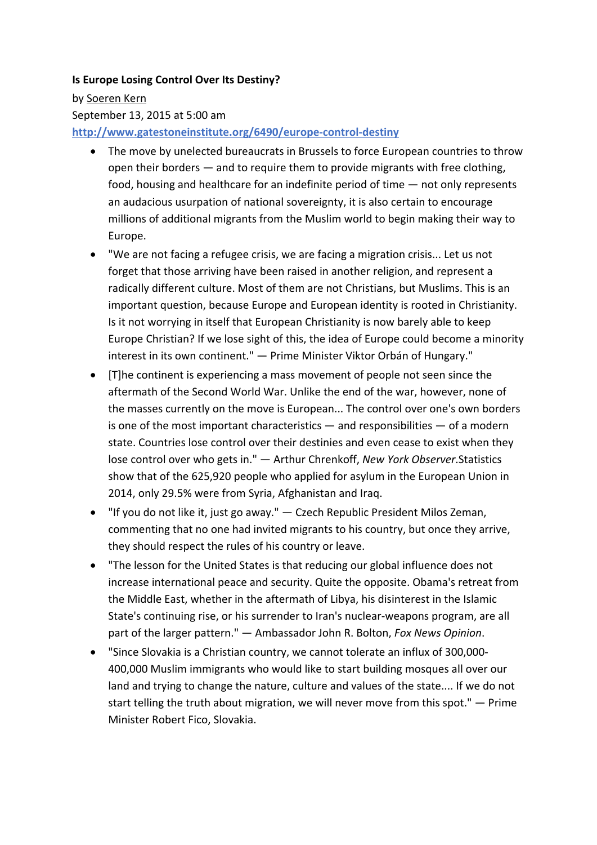## **Is Europe Losing Control Over Its Destiny?**

by Soeren Kern September 13, 2015 at 5:00 am **http://www.gatestoneinstitute.org/6490/europe‐control‐destiny**

- The move by unelected bureaucrats in Brussels to force European countries to throw open their borders — and to require them to provide migrants with free clothing, food, housing and healthcare for an indefinite period of time — not only represents an audacious usurpation of national sovereignty, it is also certain to encourage millions of additional migrants from the Muslim world to begin making their way to Europe.
	- "We are not facing a refugee crisis, we are facing a migration crisis... Let us not forget that those arriving have been raised in another religion, and represent a radically different culture. Most of them are not Christians, but Muslims. This is an important question, because Europe and European identity is rooted in Christianity. Is it not worrying in itself that European Christianity is now barely able to keep Europe Christian? If we lose sight of this, the idea of Europe could become a minority interest in its own continent." — Prime Minister Viktor Orbán of Hungary."
	- [T]he continent is experiencing a mass movement of people not seen since the aftermath of the Second World War. Unlike the end of the war, however, none of the masses currently on the move is European... The control over one's own borders is one of the most important characteristics — and responsibilities — of a modern state. Countries lose control over their destinies and even cease to exist when they lose control over who gets in." — Arthur Chrenkoff, *New York Observer*.Statistics show that of the 625,920 people who applied for asylum in the European Union in 2014, only 29.5% were from Syria, Afghanistan and Iraq.
- "If you do not like it, just go away." Czech Republic President Milos Zeman, commenting that no one had invited migrants to his country, but once they arrive, they should respect the rules of his country or leave.
- "The lesson for the United States is that reducing our global influence does not increase international peace and security. Quite the opposite. Obama's retreat from the Middle East, whether in the aftermath of Libya, his disinterest in the Islamic State's continuing rise, or his surrender to Iran's nuclear‐weapons program, are all part of the larger pattern." — Ambassador John R. Bolton, *Fox News Opinion*.
- "Since Slovakia is a Christian country, we cannot tolerate an influx of 300,000‐ 400,000 Muslim immigrants who would like to start building mosques all over our land and trying to change the nature, culture and values of the state.... If we do not start telling the truth about migration, we will never move from this spot." — Prime Minister Robert Fico, Slovakia.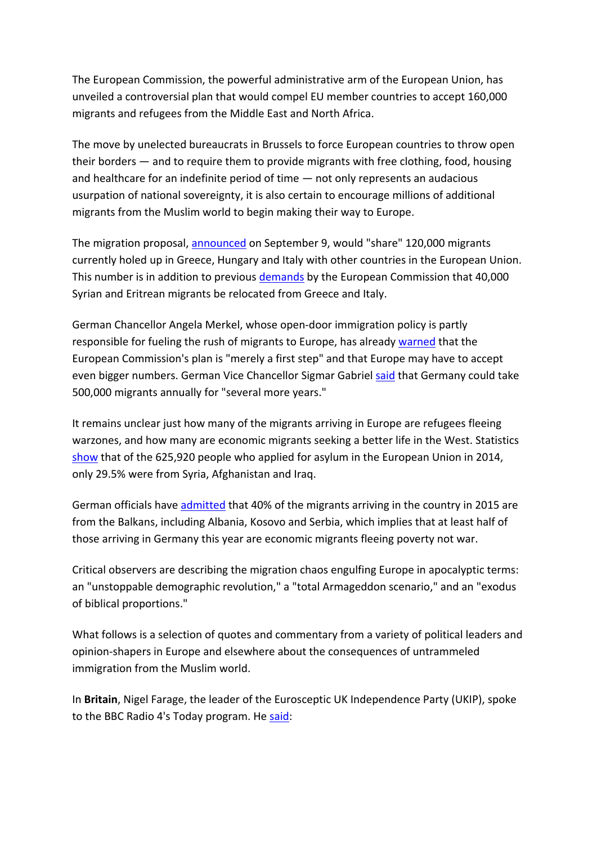The European Commission, the powerful administrative arm of the European Union, has unveiled a controversial plan that would compel EU member countries to accept 160,000 migrants and refugees from the Middle East and North Africa.

The move by unelected bureaucrats in Brussels to force European countries to throw open their borders — and to require them to provide migrants with free clothing, food, housing and healthcare for an indefinite period of time — not only represents an audacious usurpation of national sovereignty, it is also certain to encourage millions of additional migrants from the Muslim world to begin making their way to Europe.

The migration proposal, announced on September 9, would "share" 120,000 migrants currently holed up in Greece, Hungary and Italy with other countries in the European Union. This number is in addition to previous demands by the European Commission that 40,000 Syrian and Eritrean migrants be relocated from Greece and Italy.

German Chancellor Angela Merkel, whose open‐door immigration policy is partly responsible for fueling the rush of migrants to Europe, has already warned that the European Commission's plan is "merely a first step" and that Europe may have to accept even bigger numbers. German Vice Chancellor Sigmar Gabriel said that Germany could take 500,000 migrants annually for "several more years."

It remains unclear just how many of the migrants arriving in Europe are refugees fleeing warzones, and how many are economic migrants seeking a better life in the West. Statistics show that of the 625,920 people who applied for asylum in the European Union in 2014, only 29.5% were from Syria, Afghanistan and Iraq.

German officials have admitted that 40% of the migrants arriving in the country in 2015 are from the Balkans, including Albania, Kosovo and Serbia, which implies that at least half of those arriving in Germany this year are economic migrants fleeing poverty not war.

Critical observers are describing the migration chaos engulfing Europe in apocalyptic terms: an "unstoppable demographic revolution," a "total Armageddon scenario," and an "exodus of biblical proportions."

What follows is a selection of quotes and commentary from a variety of political leaders and opinion‐shapers in Europe and elsewhere about the consequences of untrammeled immigration from the Muslim world.

In **Britain**, Nigel Farage, the leader of the Eurosceptic UK Independence Party (UKIP), spoke to the BBC Radio 4's Today program. He said: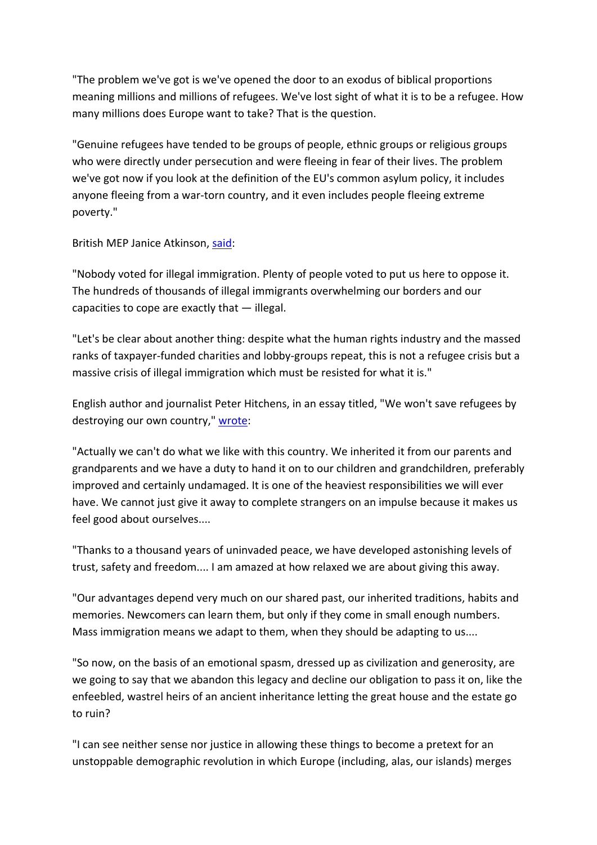"The problem we've got is we've opened the door to an exodus of biblical proportions meaning millions and millions of refugees. We've lost sight of what it is to be a refugee. How many millions does Europe want to take? That is the question.

"Genuine refugees have tended to be groups of people, ethnic groups or religious groups who were directly under persecution and were fleeing in fear of their lives. The problem we've got now if you look at the definition of the EU's common asylum policy, it includes anyone fleeing from a war-torn country, and it even includes people fleeing extreme poverty."

British MEP Janice Atkinson, said:

"Nobody voted for illegal immigration. Plenty of people voted to put us here to oppose it. The hundreds of thousands of illegal immigrants overwhelming our borders and our capacities to cope are exactly that — illegal.

"Let's be clear about another thing: despite what the human rights industry and the massed ranks of taxpayer-funded charities and lobby-groups repeat, this is not a refugee crisis but a massive crisis of illegal immigration which must be resisted for what it is."

English author and journalist Peter Hitchens, in an essay titled, "We won't save refugees by destroying our own country," wrote:

"Actually we can't do what we like with this country. We inherited it from our parents and grandparents and we have a duty to hand it on to our children and grandchildren, preferably improved and certainly undamaged. It is one of the heaviest responsibilities we will ever have. We cannot just give it away to complete strangers on an impulse because it makes us feel good about ourselves....

"Thanks to a thousand years of uninvaded peace, we have developed astonishing levels of trust, safety and freedom.... I am amazed at how relaxed we are about giving this away.

"Our advantages depend very much on our shared past, our inherited traditions, habits and memories. Newcomers can learn them, but only if they come in small enough numbers. Mass immigration means we adapt to them, when they should be adapting to us....

"So now, on the basis of an emotional spasm, dressed up as civilization and generosity, are we going to say that we abandon this legacy and decline our obligation to pass it on, like the enfeebled, wastrel heirs of an ancient inheritance letting the great house and the estate go to ruin?

"I can see neither sense nor justice in allowing these things to become a pretext for an unstoppable demographic revolution in which Europe (including, alas, our islands) merges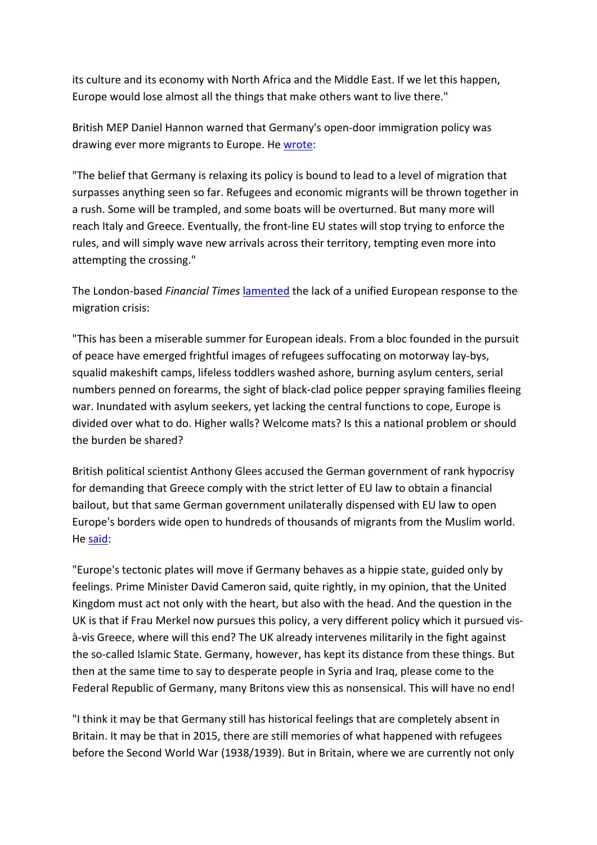its culture and its economy with North Africa and the Middle East. If we let this happen, Europe would lose almost all the things that make others want to live there."

British MEP Daniel Hannon warned that Germany's open‐door immigration policy was drawing ever more migrants to Europe. He wrote:

"The belief that Germany is relaxing its policy is bound to lead to a level of migration that surpasses anything seen so far. Refugees and economic migrants will be thrown together in a rush. Some will be trampled, and some boats will be overturned. But many more will reach Italy and Greece. Eventually, the front‐line EU states will stop trying to enforce the rules, and will simply wave new arrivals across their territory, tempting even more into attempting the crossing."

The London‐based *Financial Times* lamented the lack of a unified European response to the migration crisis:

"This has been a miserable summer for European ideals. From a bloc founded in the pursuit of peace have emerged frightful images of refugees suffocating on motorway lay‐bys, squalid makeshift camps, lifeless toddlers washed ashore, burning asylum centers, serial numbers penned on forearms, the sight of black‐clad police pepper spraying families fleeing war. Inundated with asylum seekers, yet lacking the central functions to cope, Europe is divided over what to do. Higher walls? Welcome mats? Is this a national problem or should the burden be shared?

British political scientist Anthony Glees accused the German government of rank hypocrisy for demanding that Greece comply with the strict letter of EU law to obtain a financial bailout, but that same German government unilaterally dispensed with EU law to open Europe's borders wide open to hundreds of thousands of migrants from the Muslim world. He said:

"Europe's tectonic plates will move if Germany behaves as a hippie state, guided only by feelings. Prime Minister David Cameron said, quite rightly, in my opinion, that the United Kingdom must act not only with the heart, but also with the head. And the question in the UK is that if Frau Merkel now pursues this policy, a very different policy which it pursued vis‐ à‐vis Greece, where will this end? The UK already intervenes militarily in the fight against the so-called Islamic State. Germany, however, has kept its distance from these things. But then at the same time to say to desperate people in Syria and Iraq, please come to the Federal Republic of Germany, many Britons view this as nonsensical. This will have no end!

"I think it may be that Germany still has historical feelings that are completely absent in Britain. It may be that in 2015, there are still memories of what happened with refugees before the Second World War (1938/1939). But in Britain, where we are currently not only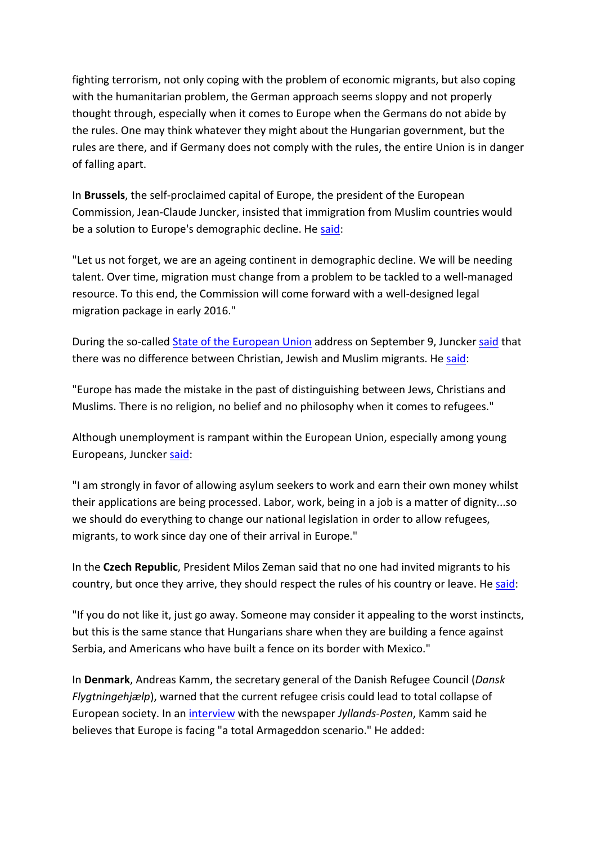fighting terrorism, not only coping with the problem of economic migrants, but also coping with the humanitarian problem, the German approach seems sloppy and not properly thought through, especially when it comes to Europe when the Germans do not abide by the rules. One may think whatever they might about the Hungarian government, but the rules are there, and if Germany does not comply with the rules, the entire Union is in danger of falling apart.

In **Brussels**, the self‐proclaimed capital of Europe, the president of the European Commission, Jean‐Claude Juncker, insisted that immigration from Muslim countries would be a solution to Europe's demographic decline. He said:

"Let us not forget, we are an ageing continent in demographic decline. We will be needing talent. Over time, migration must change from a problem to be tackled to a well‐managed resource. To this end, the Commission will come forward with a well‐designed legal migration package in early 2016."

During the so-called State of the European Union address on September 9, Juncker said that there was no difference between Christian, Jewish and Muslim migrants. He said:

"Europe has made the mistake in the past of distinguishing between Jews, Christians and Muslims. There is no religion, no belief and no philosophy when it comes to refugees."

Although unemployment is rampant within the European Union, especially among young Europeans, Juncker said:

"I am strongly in favor of allowing asylum seekers to work and earn their own money whilst their applications are being processed. Labor, work, being in a job is a matter of dignity...so we should do everything to change our national legislation in order to allow refugees, migrants, to work since day one of their arrival in Europe."

In the **Czech Republic**, President Milos Zeman said that no one had invited migrants to his country, but once they arrive, they should respect the rules of his country or leave. He said:

"If you do not like it, just go away. Someone may consider it appealing to the worst instincts, but this is the same stance that Hungarians share when they are building a fence against Serbia, and Americans who have built a fence on its border with Mexico."

In **Denmark**, Andreas Kamm, the secretary general of the Danish Refugee Council (*Dansk Flygtningehjælp*), warned that the current refugee crisis could lead to total collapse of European society. In an interview with the newspaper *Jyllands‐Posten*, Kamm said he believes that Europe is facing "a total Armageddon scenario." He added: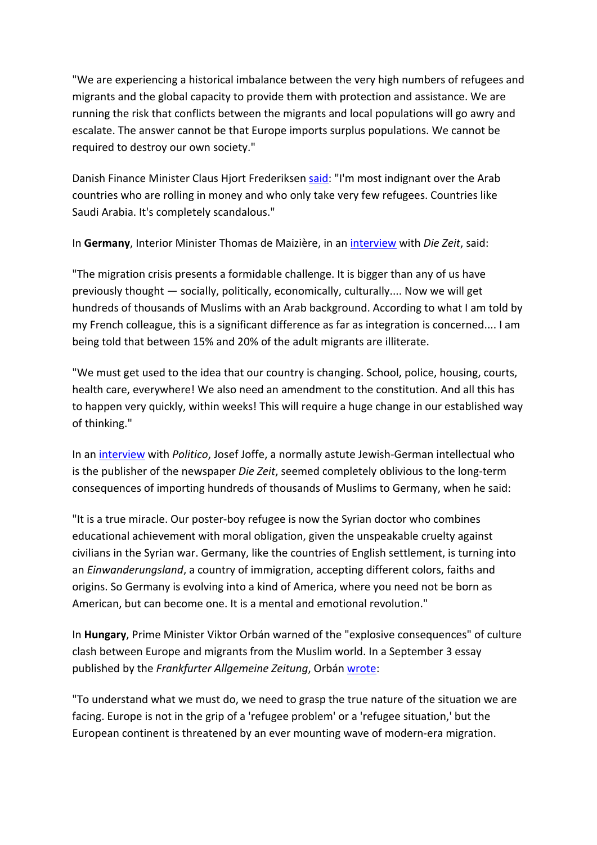"We are experiencing a historical imbalance between the very high numbers of refugees and migrants and the global capacity to provide them with protection and assistance. We are running the risk that conflicts between the migrants and local populations will go awry and escalate. The answer cannot be that Europe imports surplus populations. We cannot be required to destroy our own society."

Danish Finance Minister Claus Hjort Frederiksen said: "I'm most indignant over the Arab countries who are rolling in money and who only take very few refugees. Countries like Saudi Arabia. It's completely scandalous."

In **Germany**, Interior Minister Thomas de Maizière, in an interview with *Die Zeit*, said:

"The migration crisis presents a formidable challenge. It is bigger than any of us have previously thought — socially, politically, economically, culturally.... Now we will get hundreds of thousands of Muslims with an Arab background. According to what I am told by my French colleague, this is a significant difference as far as integration is concerned.... I am being told that between 15% and 20% of the adult migrants are illiterate.

"We must get used to the idea that our country is changing. School, police, housing, courts, health care, everywhere! We also need an amendment to the constitution. And all this has to happen very quickly, within weeks! This will require a huge change in our established way of thinking."

In an interview with *Politico*, Josef Joffe, a normally astute Jewish‐German intellectual who is the publisher of the newspaper *Die Zeit*, seemed completely oblivious to the long‐term consequences of importing hundreds of thousands of Muslims to Germany, when he said:

"It is a true miracle. Our poster‐boy refugee is now the Syrian doctor who combines educational achievement with moral obligation, given the unspeakable cruelty against civilians in the Syrian war. Germany, like the countries of English settlement, is turning into an *Einwanderungsland*, a country of immigration, accepting different colors, faiths and origins. So Germany is evolving into a kind of America, where you need not be born as American, but can become one. It is a mental and emotional revolution."

In **Hungary**, Prime Minister Viktor Orbán warned of the "explosive consequences" of culture clash between Europe and migrants from the Muslim world. In a September 3 essay published by the *Frankfurter Allgemeine Zeitung*, Orbán wrote:

"To understand what we must do, we need to grasp the true nature of the situation we are facing. Europe is not in the grip of a 'refugee problem' or a 'refugee situation,' but the European continent is threatened by an ever mounting wave of modern‐era migration.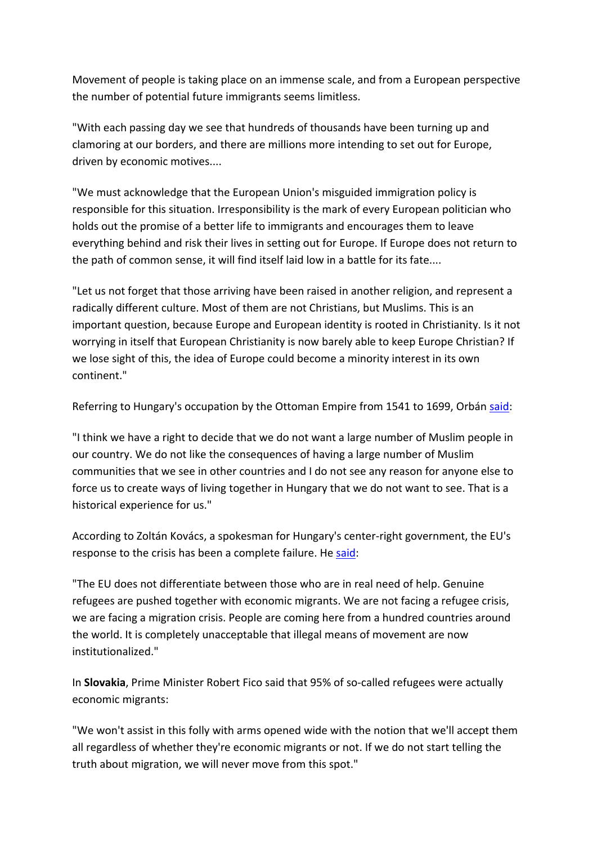Movement of people is taking place on an immense scale, and from a European perspective the number of potential future immigrants seems limitless.

"With each passing day we see that hundreds of thousands have been turning up and clamoring at our borders, and there are millions more intending to set out for Europe, driven by economic motives....

"We must acknowledge that the European Union's misguided immigration policy is responsible for this situation. Irresponsibility is the mark of every European politician who holds out the promise of a better life to immigrants and encourages them to leave everything behind and risk their lives in setting out for Europe. If Europe does not return to the path of common sense, it will find itself laid low in a battle for its fate....

"Let us not forget that those arriving have been raised in another religion, and represent a radically different culture. Most of them are not Christians, but Muslims. This is an important question, because Europe and European identity is rooted in Christianity. Is it not worrying in itself that European Christianity is now barely able to keep Europe Christian? If we lose sight of this, the idea of Europe could become a minority interest in its own continent."

Referring to Hungary's occupation by the Ottoman Empire from 1541 to 1699, Orbán said:

"I think we have a right to decide that we do not want a large number of Muslim people in our country. We do not like the consequences of having a large number of Muslim communities that we see in other countries and I do not see any reason for anyone else to force us to create ways of living together in Hungary that we do not want to see. That is a historical experience for us."

According to Zoltán Kovács, a spokesman for Hungary's center‐right government, the EU's response to the crisis has been a complete failure. He said:

"The EU does not differentiate between those who are in real need of help. Genuine refugees are pushed together with economic migrants. We are not facing a refugee crisis, we are facing a migration crisis. People are coming here from a hundred countries around the world. It is completely unacceptable that illegal means of movement are now institutionalized."

In **Slovakia**, Prime Minister Robert Fico said that 95% of so-called refugees were actually economic migrants:

"We won't assist in this folly with arms opened wide with the notion that we'll accept them all regardless of whether they're economic migrants or not. If we do not start telling the truth about migration, we will never move from this spot."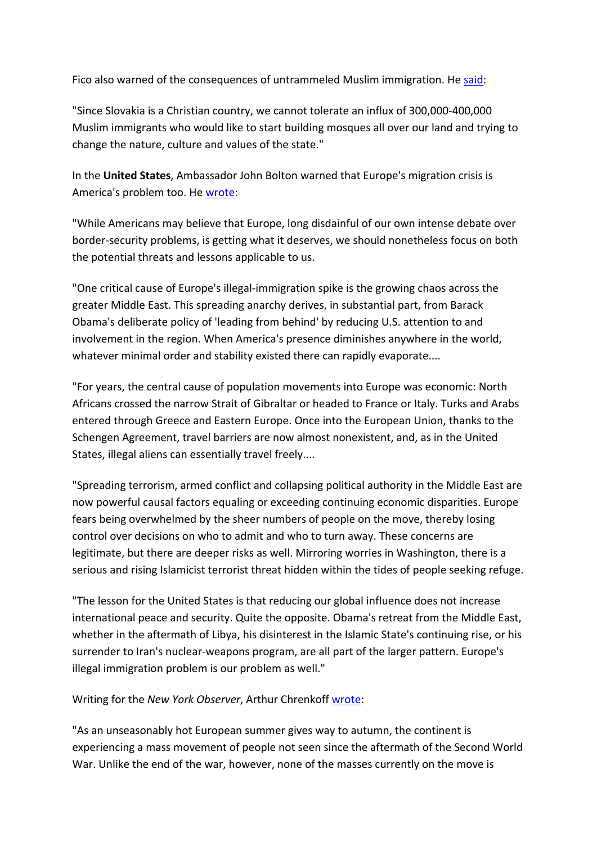Fico also warned of the consequences of untrammeled Muslim immigration. He said:

"Since Slovakia is a Christian country, we cannot tolerate an influx of 300,000‐400,000 Muslim immigrants who would like to start building mosques all over our land and trying to change the nature, culture and values of the state."

In the **United States**, Ambassador John Bolton warned that Europe's migration crisis is America's problem too. He wrote:

"While Americans may believe that Europe, long disdainful of our own intense debate over border‐security problems, is getting what it deserves, we should nonetheless focus on both the potential threats and lessons applicable to us.

"One critical cause of Europe's illegal‐immigration spike is the growing chaos across the greater Middle East. This spreading anarchy derives, in substantial part, from Barack Obama's deliberate policy of 'leading from behind' by reducing U.S. attention to and involvement in the region. When America's presence diminishes anywhere in the world, whatever minimal order and stability existed there can rapidly evaporate....

"For years, the central cause of population movements into Europe was economic: North Africans crossed the narrow Strait of Gibraltar or headed to France or Italy. Turks and Arabs entered through Greece and Eastern Europe. Once into the European Union, thanks to the Schengen Agreement, travel barriers are now almost nonexistent, and, as in the United States, illegal aliens can essentially travel freely....

"Spreading terrorism, armed conflict and collapsing political authority in the Middle East are now powerful causal factors equaling or exceeding continuing economic disparities. Europe fears being overwhelmed by the sheer numbers of people on the move, thereby losing control over decisions on who to admit and who to turn away. These concerns are legitimate, but there are deeper risks as well. Mirroring worries in Washington, there is a serious and rising Islamicist terrorist threat hidden within the tides of people seeking refuge.

"The lesson for the United States is that reducing our global influence does not increase international peace and security. Quite the opposite. Obama's retreat from the Middle East, whether in the aftermath of Libya, his disinterest in the Islamic State's continuing rise, or his surrender to Iran's nuclear‐weapons program, are all part of the larger pattern. Europe's illegal immigration problem is our problem as well."

Writing for the *New York Observer*, Arthur Chrenkoff wrote:

"As an unseasonably hot European summer gives way to autumn, the continent is experiencing a mass movement of people not seen since the aftermath of the Second World War. Unlike the end of the war, however, none of the masses currently on the move is